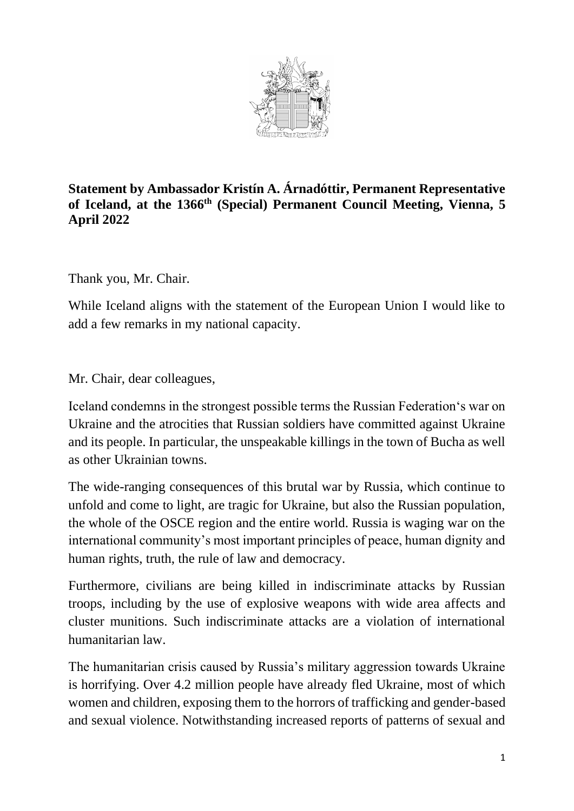

## **Statement by Ambassador Kristín A. Árnadóttir, Permanent Representative of Iceland, at the 1366 th (Special) Permanent Council Meeting, Vienna, 5 April 2022**

Thank you, Mr. Chair.

While Iceland aligns with the statement of the European Union I would like to add a few remarks in my national capacity.

Mr. Chair, dear colleagues,

Iceland condemns in the strongest possible terms the Russian Federation's war on Ukraine and the atrocities that Russian soldiers have committed against Ukraine and its people. In particular, the unspeakable killings in the town of Bucha as well as other Ukrainian towns.

The wide-ranging consequences of this brutal war by Russia, which continue to unfold and come to light, are tragic for Ukraine, but also the Russian population, the whole of the OSCE region and the entire world. Russia is waging war on the international community's most important principles of peace, human dignity and human rights, truth, the rule of law and democracy.

Furthermore, civilians are being killed in indiscriminate attacks by Russian troops, including by the use of explosive weapons with wide area affects and cluster munitions. Such indiscriminate attacks are a violation of international humanitarian law.

The humanitarian crisis caused by Russia's military aggression towards Ukraine is horrifying. Over 4.2 million people have already fled Ukraine, most of which women and children, exposing them to the horrors of trafficking and gender-based and sexual violence. Notwithstanding increased reports of patterns of sexual and